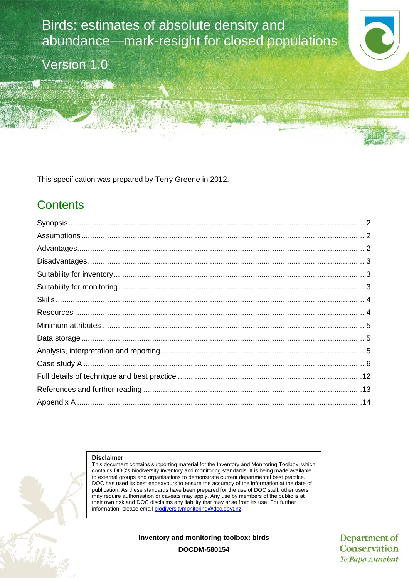Birds: estimates of absolute density and abundance—mark-resight for closed populations

Version 1.0

This specification was prepared by Terry Greene in 2012.

# **Contents**

#### **Disclaimer**

This document contains supporting material for the Inventory and Monitoring Toolbox, which contains DOC's biodiversity inventory and monitoring standards. It is being made available to external groups and organisations to demonstrate current departmental best practice. DOC has used its best endeavours to ensure the accuracy of the information at the date of publication. As these standards have been prepared for the use of DOC staff, other users may require authorisation or caveats may apply. Any use by members of the public is at their own risk and DOC disclaims any liability that may arise from its use. For further information, please email [biodiversitymonitoring@doc.govt.nz](mailto:biodiversitymonitoring@doc.govt.nz)

**Inventory and monitoring toolbox: birds**

Department of Conservation Te Papa Atawhai

**DOCDM-580154**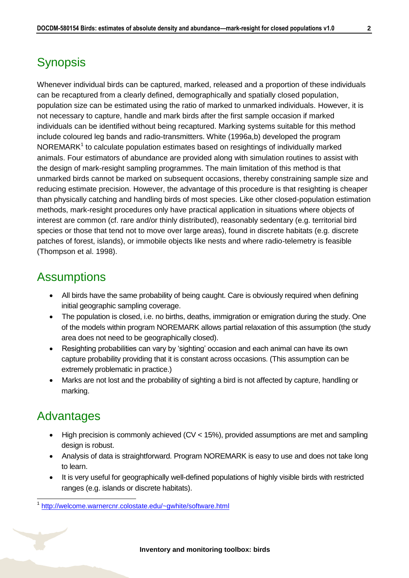# <span id="page-1-0"></span>**Synopsis**

Whenever individual birds can be captured, marked, released and a proportion of these individuals can be recaptured from a clearly defined, demographically and spatially closed population, population size can be estimated using the ratio of marked to unmarked individuals. However, it is not necessary to capture, handle and mark birds after the first sample occasion if marked individuals can be identified without being recaptured. Marking systems suitable for this method include coloured leg bands and radio-transmitters. White (1996a,b) developed the program  $NOREMARK<sup>1</sup>$  to calculate population estimates based on resightings of individually marked animals. Four estimators of abundance are provided along with simulation routines to assist with the design of mark-resight sampling programmes. The main limitation of this method is that unmarked birds cannot be marked on subsequent occasions, thereby constraining sample size and reducing estimate precision. However, the advantage of this procedure is that resighting is cheaper than physically catching and handling birds of most species. Like other closed-population estimation methods, mark-resight procedures only have practical application in situations where objects of interest are common (cf. rare and/or thinly distributed), reasonably sedentary (e.g. territorial bird species or those that tend not to move over large areas), found in discrete habitats (e.g. discrete patches of forest, islands), or immobile objects like nests and where radio-telemetry is feasible (Thompson et al. 1998).

### <span id="page-1-1"></span>**Assumptions**

- All birds have the same probability of being caught. Care is obviously required when defining initial geographic sampling coverage.
- The population is closed, i.e. no births, deaths, immigration or emigration during the study. One of the models within program NOREMARK allows partial relaxation of this assumption (the study area does not need to be geographically closed).
- Resighting probabilities can vary by 'sighting' occasion and each animal can have its own capture probability providing that it is constant across occasions. (This assumption can be extremely problematic in practice.)
- Marks are not lost and the probability of sighting a bird is not affected by capture, handling or marking.

## <span id="page-1-2"></span>Advantages

-

- High precision is commonly achieved (CV < 15%), provided assumptions are met and sampling design is robust.
- Analysis of data is straightforward. Program NOREMARK is easy to use and does not take long to learn.
- It is very useful for geographically well-defined populations of highly visible birds with restricted ranges (e.g. islands or discrete habitats).

<sup>1</sup> <http://welcome.warnercnr.colostate.edu/~gwhite/software.html>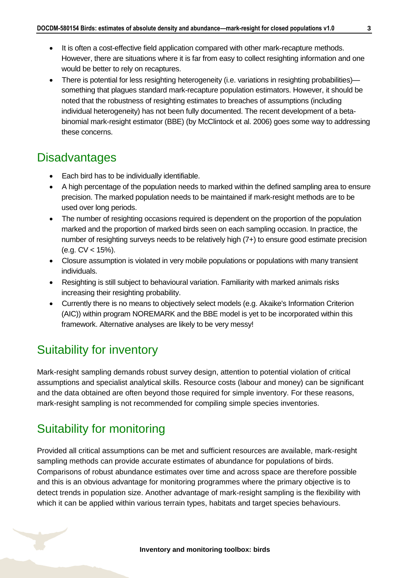- It is often a cost-effective field application compared with other mark-recapture methods. However, there are situations where it is far from easy to collect resighting information and one would be better to rely on recaptures.
- There is potential for less resighting heterogeneity (i.e. variations in resighting probabilities) something that plagues standard mark-recapture population estimators. However, it should be noted that the robustness of resighting estimates to breaches of assumptions (including individual heterogeneity) has not been fully documented. The recent development of a betabinomial mark-resight estimator (BBE) (by McClintock et al. 2006) goes some way to addressing these concerns.

## <span id="page-2-0"></span>**Disadvantages**

- Each bird has to be individually identifiable.
- A high percentage of the population needs to marked within the defined sampling area to ensure precision. The marked population needs to be maintained if mark-resight methods are to be used over long periods.
- The number of resighting occasions required is dependent on the proportion of the population marked and the proportion of marked birds seen on each sampling occasion. In practice, the number of resighting surveys needs to be relatively high (7+) to ensure good estimate precision (e.g. CV < 15%).
- Closure assumption is violated in very mobile populations or populations with many transient individuals.
- Resighting is still subject to behavioural variation. Familiarity with marked animals risks increasing their resighting probability.
- Currently there is no means to objectively select models (e.g. Akaike's Information Criterion (AIC)) within program NOREMARK and the BBE model is yet to be incorporated within this framework. Alternative analyses are likely to be very messy!

# <span id="page-2-1"></span>Suitability for inventory

Mark-resight sampling demands robust survey design, attention to potential violation of critical assumptions and specialist analytical skills. Resource costs (labour and money) can be significant and the data obtained are often beyond those required for simple inventory. For these reasons, mark-resight sampling is not recommended for compiling simple species inventories.

# <span id="page-2-2"></span>Suitability for monitoring

Provided all critical assumptions can be met and sufficient resources are available, mark-resight sampling methods can provide accurate estimates of abundance for populations of birds. Comparisons of robust abundance estimates over time and across space are therefore possible and this is an obvious advantage for monitoring programmes where the primary objective is to detect trends in population size. Another advantage of mark-resight sampling is the flexibility with which it can be applied within various terrain types, habitats and target species behaviours.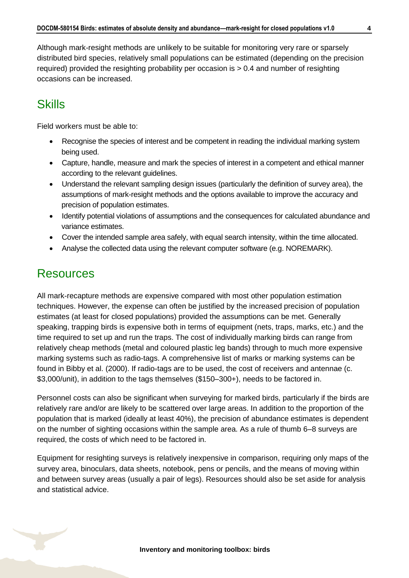Although mark-resight methods are unlikely to be suitable for monitoring very rare or sparsely distributed bird species, relatively small populations can be estimated (depending on the precision required) provided the resighting probability per occasion is > 0.4 and number of resighting occasions can be increased.

### <span id="page-3-0"></span>**Skills**

Field workers must be able to:

- Recognise the species of interest and be competent in reading the individual marking system being used.
- Capture, handle, measure and mark the species of interest in a competent and ethical manner according to the relevant guidelines.
- Understand the relevant sampling design issues (particularly the definition of survey area), the assumptions of mark-resight methods and the options available to improve the accuracy and precision of population estimates.
- Identify potential violations of assumptions and the consequences for calculated abundance and variance estimates.
- Cover the intended sample area safely, with equal search intensity, within the time allocated.
- Analyse the collected data using the relevant computer software (e.g. NOREMARK).

### <span id="page-3-1"></span>**Resources**

All mark-recapture methods are expensive compared with most other population estimation techniques. However, the expense can often be justified by the increased precision of population estimates (at least for closed populations) provided the assumptions can be met. Generally speaking, trapping birds is expensive both in terms of equipment (nets, traps, marks, etc.) and the time required to set up and run the traps. The cost of individually marking birds can range from relatively cheap methods (metal and coloured plastic leg bands) through to much more expensive marking systems such as radio-tags. A comprehensive list of marks or marking systems can be found in Bibby et al. (2000). If radio-tags are to be used, the cost of receivers and antennae (c. \$3,000/unit), in addition to the tags themselves (\$150–300+), needs to be factored in.

Personnel costs can also be significant when surveying for marked birds, particularly if the birds are relatively rare and/or are likely to be scattered over large areas. In addition to the proportion of the population that is marked (ideally at least 40%), the precision of abundance estimates is dependent on the number of sighting occasions within the sample area. As a rule of thumb 6–8 surveys are required, the costs of which need to be factored in.

Equipment for resighting surveys is relatively inexpensive in comparison, requiring only maps of the survey area, binoculars, data sheets, notebook, pens or pencils, and the means of moving within and between survey areas (usually a pair of legs). Resources should also be set aside for analysis and statistical advice.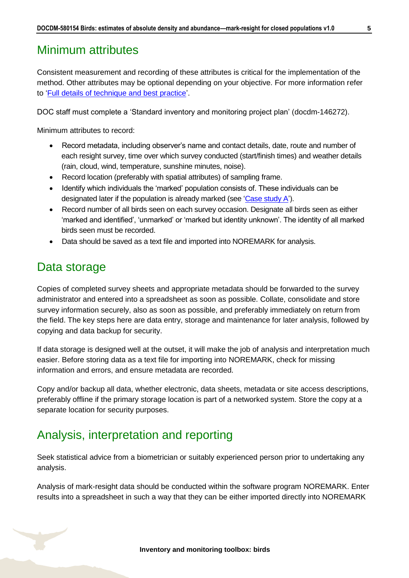### <span id="page-4-0"></span>Minimum attributes

Consistent measurement and recording of these attributes is critical for the implementation of the method. Other attributes may be optional depending on your objective. For more information refer to ['Full details of technique and best practice'](#page-11-0).

DOC staff must complete a 'Standard inventory and monitoring project plan' (docdm-146272).

Minimum attributes to record:

- Record metadata, including observer's name and contact details, date, route and number of each resight survey, time over which survey conducted (start/finish times) and weather details (rain, cloud, wind, temperature, sunshine minutes, noise).
- Record location (preferably with spatial attributes) of sampling frame.
- Identify which individuals the 'marked' population consists of. These individuals can be designated later if the population is already marked (see ['Case study A'\)](#page-5-0).
- Record number of all birds seen on each survey occasion. Designate all birds seen as either 'marked and identified', 'unmarked' or 'marked but identity unknown'. The identity of all marked birds seen must be recorded.
- Data should be saved as a text file and imported into NOREMARK for analysis.

## <span id="page-4-1"></span>Data storage

Copies of completed survey sheets and appropriate metadata should be forwarded to the survey administrator and entered into a spreadsheet as soon as possible. Collate, consolidate and store survey information securely, also as soon as possible, and preferably immediately on return from the field. The key steps here are data entry, storage and maintenance for later analysis, followed by copying and data backup for security.

If data storage is designed well at the outset, it will make the job of analysis and interpretation much easier. Before storing data as a text file for importing into NOREMARK, check for missing information and errors, and ensure metadata are recorded.

Copy and/or backup all data, whether electronic, data sheets, metadata or site access descriptions, preferably offline if the primary storage location is part of a networked system. Store the copy at a separate location for security purposes.

## <span id="page-4-2"></span>Analysis, interpretation and reporting

Seek statistical advice from a biometrician or suitably experienced person prior to undertaking any analysis.

Analysis of mark-resight data should be conducted within the software program NOREMARK. Enter results into a spreadsheet in such a way that they can be either imported directly into NOREMARK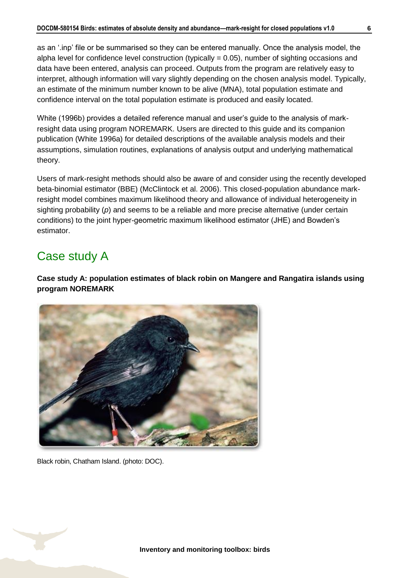as an '.inp' file or be summarised so they can be entered manually. Once the analysis model, the alpha level for confidence level construction (typically  $= 0.05$ ), number of sighting occasions and data have been entered, analysis can proceed. Outputs from the program are relatively easy to interpret, although information will vary slightly depending on the chosen analysis model. Typically, an estimate of the minimum number known to be alive (MNA), total population estimate and confidence interval on the total population estimate is produced and easily located.

White (1996b) provides a detailed reference manual and user's guide to the analysis of markresight data using program NOREMARK. Users are directed to this guide and its companion publication (White 1996a) for detailed descriptions of the available analysis models and their assumptions, simulation routines, explanations of analysis output and underlying mathematical theory.

Users of mark-resight methods should also be aware of and consider using the recently developed beta-binomial estimator (BBE) (McClintock et al. 2006). This closed-population abundance markresight model combines maximum likelihood theory and allowance of individual heterogeneity in sighting probability (*p*) and seems to be a reliable and more precise alternative (under certain conditions) to the joint hyper-geometric maximum likelihood estimator (JHE) and Bowden's estimator.

## <span id="page-5-0"></span>Case study A

**Case study A: population estimates of black robin on Mangere and Rangatira islands using program NOREMARK**



Black robin, Chatham Island. (photo: DOC).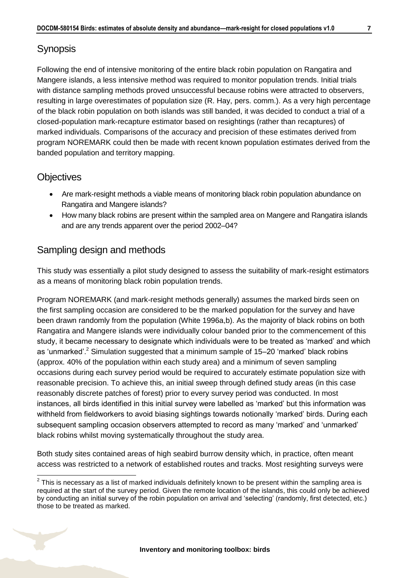### **Synopsis**

Following the end of intensive monitoring of the entire black robin population on Rangatira and Mangere islands, a less intensive method was required to monitor population trends. Initial trials with distance sampling methods proved unsuccessful because robins were attracted to observers, resulting in large overestimates of population size (R. Hay, pers. comm.). As a very high percentage of the black robin population on both islands was still banded, it was decided to conduct a trial of a closed-population mark-recapture estimator based on resightings (rather than recaptures) of marked individuals. Comparisons of the accuracy and precision of these estimates derived from program NOREMARK could then be made with recent known population estimates derived from the banded population and territory mapping.

### **Objectives**

- Are mark-resight methods a viable means of monitoring black robin population abundance on Rangatira and Mangere islands?
- How many black robins are present within the sampled area on Mangere and Rangatira islands and are any trends apparent over the period 2002–04?

### Sampling design and methods

This study was essentially a pilot study designed to assess the suitability of mark-resight estimators as a means of monitoring black robin population trends.

Program NOREMARK (and mark-resight methods generally) assumes the marked birds seen on the first sampling occasion are considered to be the marked population for the survey and have been drawn randomly from the population (White 1996a,b). As the majority of black robins on both Rangatira and Mangere islands were individually colour banded prior to the commencement of this study, it became necessary to designate which individuals were to be treated as 'marked' and which as 'unmarked'.<sup>2</sup> Simulation suggested that a minimum sample of 15–20 'marked' black robins (approx. 40% of the population within each study area) and a minimum of seven sampling occasions during each survey period would be required to accurately estimate population size with reasonable precision. To achieve this, an initial sweep through defined study areas (in this case reasonably discrete patches of forest) prior to every survey period was conducted. In most instances, all birds identified in this initial survey were labelled as 'marked' but this information was withheld from fieldworkers to avoid biasing sightings towards notionally 'marked' birds. During each subsequent sampling occasion observers attempted to record as many 'marked' and 'unmarked' black robins whilst moving systematically throughout the study area.

Both study sites contained areas of high seabird burrow density which, in practice, often meant access was restricted to a network of established routes and tracks. Most resighting surveys were



<sup>-</sup> $2$  This is necessary as a list of marked individuals definitely known to be present within the sampling area is required at the start of the survey period. Given the remote location of the islands, this could only be achieved by conducting an initial survey of the robin population on arrival and 'selecting' (randomly, first detected, etc.) those to be treated as marked.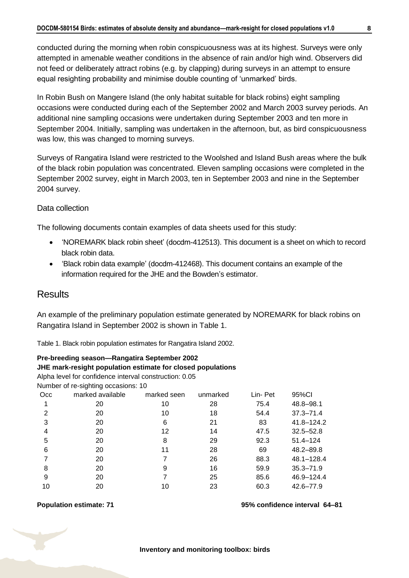conducted during the morning when robin conspicuousness was at its highest. Surveys were only attempted in amenable weather conditions in the absence of rain and/or high wind. Observers did not feed or deliberately attract robins (e.g. by clapping) during surveys in an attempt to ensure equal resighting probability and minimise double counting of 'unmarked' birds.

In Robin Bush on Mangere Island (the only habitat suitable for black robins) eight sampling occasions were conducted during each of the September 2002 and March 2003 survey periods. An additional nine sampling occasions were undertaken during September 2003 and ten more in September 2004. Initially, sampling was undertaken in the afternoon, but, as bird conspicuousness was low, this was changed to morning surveys.

Surveys of Rangatira Island were restricted to the Woolshed and Island Bush areas where the bulk of the black robin population was concentrated. Eleven sampling occasions were completed in the September 2002 survey, eight in March 2003, ten in September 2003 and nine in the September 2004 survey.

#### Data collection

The following documents contain examples of data sheets used for this study:

- 'NOREMARK black robin sheet' (docdm-412513). This document is a sheet on which to record black robin data.
- 'Black robin data example' (docdm-412468). This document contains an example of the information required for the JHE and the Bowden's estimator.

### **Results**

An example of the preliminary population estimate generated by NOREMARK for black robins on Rangatira Island in September 2002 is shown in Table 1.

Table 1. Black robin population estimates for Rangatira Island 2002.

**Pre-breeding season—Rangatira September 2002 JHE mark-resight population estimate for closed populations** Alpha level for confidence interval construction: 0.05 Number of re-sighting occasions: 10 Occ marked available marked seen unmarked Lin- Pet 95%CI 20 10 28 75.4 48.8–98.1 20 10 18 54.4 37.3–71.4 20 6 21 83 41.8–124.2 20 12 14 47.5 32.5–52.8 20 8 29 92.3 51.4–124 20 11 28 69 48.2–89.8 20 7 26 88.3 48.1–128.4 20 9 16 59.9 35.3–71.9 20 7 25 85.6 46.9–124.4 20 10 23 60.3 42.6–77.9

#### **Population estimate: 71 95% confidence interval 64–81**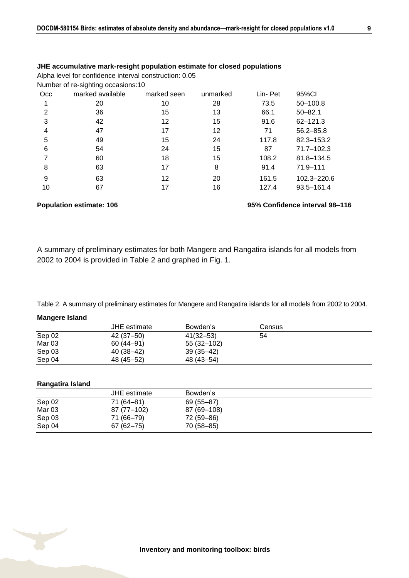|                | JHE accumulative mark-resight population estimate for closed populations |             |          |         |               |
|----------------|--------------------------------------------------------------------------|-------------|----------|---------|---------------|
|                | Alpha level for confidence interval construction: 0.05                   |             |          |         |               |
|                | Number of re-sighting occasions:10                                       |             |          |         |               |
| Occ.           | marked available                                                         | marked seen | unmarked | Lin-Pet | 95%CI         |
| 1              | 20                                                                       | 10          | 28       | 73.5    | 50-100.8      |
| $\mathfrak{p}$ | 36                                                                       | 15          | 13       | 66.1    | $50 - 82.1$   |
| 3              | 42                                                                       | 12          | 15       | 91.6    | $62 - 121.3$  |
| 4              | 47                                                                       | 17          | 12       | 71      | $56.2 - 85.8$ |
| 5              | 49                                                                       | 15          | 24       | 117.8   | 82.3-153.2    |
| 6              | 54                                                                       | 24          | 15       | 87      | 71.7-102.3    |
| 7              | 60                                                                       | 18          | 15       | 108.2   | 81.8-134.5    |
| 8              | 63                                                                       | 17          | 8        | 91.4    | 71.9-111      |
| 9              | 63                                                                       | 12          | 20       | 161.5   | 102.3-220.6   |
| 10             | 67                                                                       | 17          | 16       | 127.4   | 93.5-161.4    |
|                |                                                                          |             |          |         |               |

#### **Population estimate: 106 95% Confidence interval 98–116**

A summary of preliminary estimates for both Mangere and Rangatira islands for all models from 2002 to 2004 is provided in Table 2 and graphed in Fig. 1.

Table 2. A summary of preliminary estimates for Mangere and Rangatira islands for all models from 2002 to 2004.

#### **Mangere Island**

|        | <b>JHE</b> estimate | Bowden's     | Census |  |
|--------|---------------------|--------------|--------|--|
| Sep 02 | 42 (37–50)          | 41(32–53)    | 54     |  |
| Mar 03 | 60 (44–91)          | 55 (32–102)  |        |  |
| Sep 03 | 40 (38–42)          | $39(35-42)$  |        |  |
| Sep 04 | 48 (45–52)          | 48 (43 - 54) |        |  |

#### **Rangatira Island**

|                   | JHE estimate  | Bowden's    |
|-------------------|---------------|-------------|
| Sep 02            | 71 (64–81)    | 69 (55–87)  |
| Mar <sub>03</sub> | 87 (77–102)   | 87 (69–108) |
| Sep 03            | 71 (66-79)    | 72 (59–86)  |
| Sep 04            | $67(62 - 75)$ | 70 (58–85)  |

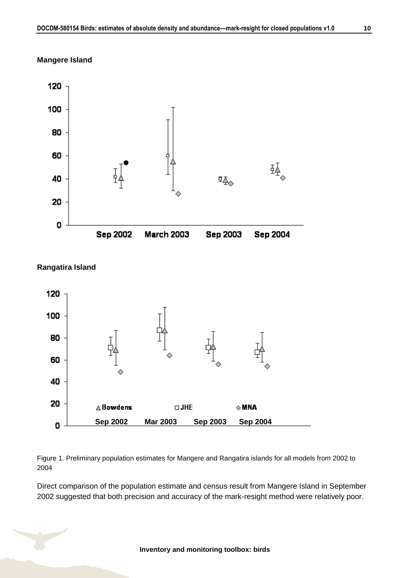





Figure 1. Preliminary population estimates for Mangere and Rangatira islands for all models from 2002 to 2004

Direct comparison of the population estimate and census result from Mangere Island in September 2002 suggested that both precision and accuracy of the mark-resight method were relatively poor.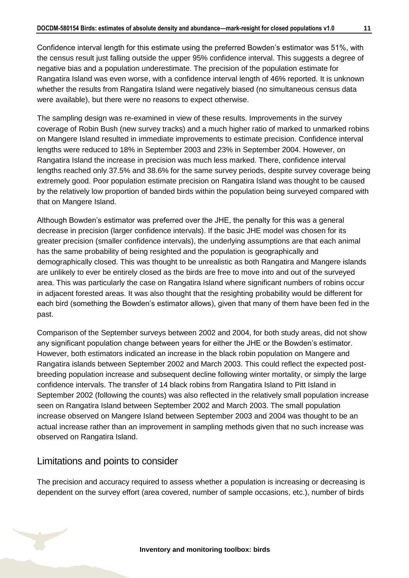Confidence interval length for this estimate using the preferred Bowden's estimator was 51%, with the census result just falling outside the upper 95% confidence interval. This suggests a degree of negative bias and a population underestimate. The precision of the population estimate for Rangatira Island was even worse, with a confidence interval length of 46% reported. It is unknown whether the results from Rangatira Island were negatively biased (no simultaneous census data were available), but there were no reasons to expect otherwise.

The sampling design was re-examined in view of these results. Improvements in the survey coverage of Robin Bush (new survey tracks) and a much higher ratio of marked to unmarked robins on Mangere Island resulted in immediate improvements to estimate precision. Confidence interval lengths were reduced to 18% in September 2003 and 23% in September 2004. However, on Rangatira Island the increase in precision was much less marked. There, confidence interval lengths reached only 37.5% and 38.6% for the same survey periods, despite survey coverage being extremely good. Poor population estimate precision on Rangatira Island was thought to be caused by the relatively low proportion of banded birds within the population being surveyed compared with that on Mangere Island.

Although Bowden's estimator was preferred over the JHE, the penalty for this was a general decrease in precision (larger confidence intervals). If the basic JHE model was chosen for its greater precision (smaller confidence intervals), the underlying assumptions are that each animal has the same probability of being resighted and the population is geographically and demographically closed. This was thought to be unrealistic as both Rangatira and Mangere islands are unlikely to ever be entirely closed as the birds are free to move into and out of the surveyed area. This was particularly the case on Rangatira Island where significant numbers of robins occur in adjacent forested areas. It was also thought that the resighting probability would be different for each bird (something the Bowden's estimator allows), given that many of them have been fed in the past.

Comparison of the September surveys between 2002 and 2004, for both study areas, did not show any significant population change between years for either the JHE or the Bowden's estimator. However, both estimators indicated an increase in the black robin population on Mangere and Rangatira islands between September 2002 and March 2003. This could reflect the expected postbreeding population increase and subsequent decline following winter mortality, or simply the large confidence intervals. The transfer of 14 black robins from Rangatira Island to Pitt Island in September 2002 (following the counts) was also reflected in the relatively small population increase seen on Rangatira Island between September 2002 and March 2003. The small population increase observed on Mangere Island between September 2003 and 2004 was thought to be an actual increase rather than an improvement in sampling methods given that no such increase was observed on Rangatira Island.

### Limitations and points to consider

The precision and accuracy required to assess whether a population is increasing or decreasing is dependent on the survey effort (area covered, number of sample occasions, etc.), number of birds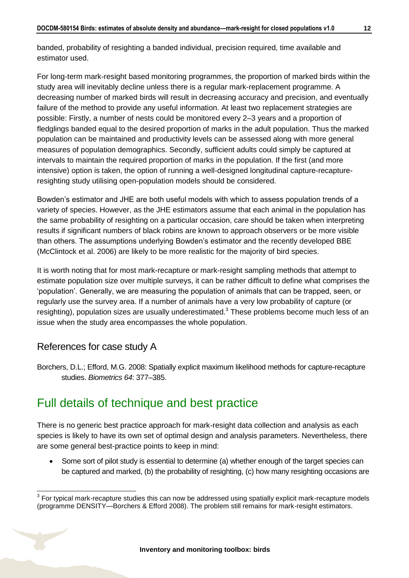banded, probability of resighting a banded individual, precision required, time available and estimator used.

For long-term mark-resight based monitoring programmes, the proportion of marked birds within the study area will inevitably decline unless there is a regular mark-replacement programme. A decreasing number of marked birds will result in decreasing accuracy and precision, and eventually failure of the method to provide any useful information. At least two replacement strategies are possible: Firstly, a number of nests could be monitored every 2–3 years and a proportion of fledglings banded equal to the desired proportion of marks in the adult population. Thus the marked population can be maintained and productivity levels can be assessed along with more general measures of population demographics. Secondly, sufficient adults could simply be captured at intervals to maintain the required proportion of marks in the population. If the first (and more intensive) option is taken, the option of running a well-designed longitudinal capture-recaptureresighting study utilising open-population models should be considered.

Bowden's estimator and JHE are both useful models with which to assess population trends of a variety of species. However, as the JHE estimators assume that each animal in the population has the same probability of resighting on a particular occasion, care should be taken when interpreting results if significant numbers of black robins are known to approach observers or be more visible than others. The assumptions underlying Bowden's estimator and the recently developed BBE (McClintock et al. 2006) are likely to be more realistic for the majority of bird species.

It is worth noting that for most mark-recapture or mark-resight sampling methods that attempt to estimate population size over multiple surveys, it can be rather difficult to define what comprises the 'population'. Generally, we are measuring the population of animals that can be trapped, seen, or regularly use the survey area. If a number of animals have a very low probability of capture (or resighting), population sizes are usually underestimated.<sup>3</sup> These problems become much less of an issue when the study area encompasses the whole population.

### References for case study A

Borchers, D.L.; Efford, M.G. 2008: Spatially explicit maximum likelihood methods for capture-recapture studies. *Biometrics 64*: 377–385.

# <span id="page-11-0"></span>Full details of technique and best practice

There is no generic best practice approach for mark-resight data collection and analysis as each species is likely to have its own set of optimal design and analysis parameters. Nevertheless, there are some general best-practice points to keep in mind:

• Some sort of pilot study is essential to determine (a) whether enough of the target species can be captured and marked, (b) the probability of resighting, (c) how many resighting occasions are

 $\overline{1}$  $3$  For typical mark-recapture studies this can now be addressed using spatially explicit mark-recapture models (programme DENSITY—Borchers & Efford 2008). The problem still remains for mark-resight estimators.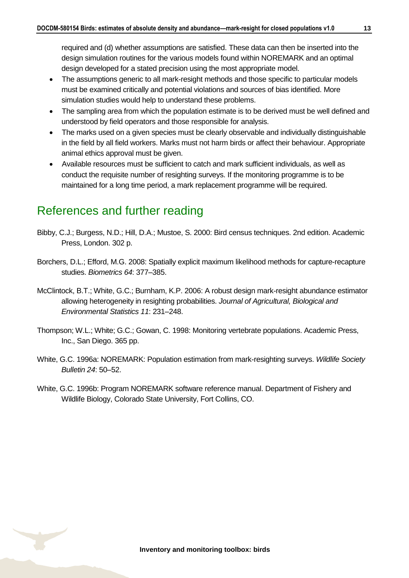required and (d) whether assumptions are satisfied. These data can then be inserted into the design simulation routines for the various models found within NOREMARK and an optimal design developed for a stated precision using the most appropriate model.

- The assumptions generic to all mark-resight methods and those specific to particular models must be examined critically and potential violations and sources of bias identified. More simulation studies would help to understand these problems.
- The sampling area from which the population estimate is to be derived must be well defined and understood by field operators and those responsible for analysis.
- The marks used on a given species must be clearly observable and individually distinguishable in the field by all field workers. Marks must not harm birds or affect their behaviour. Appropriate animal ethics approval must be given.
- Available resources must be sufficient to catch and mark sufficient individuals, as well as conduct the requisite number of resighting surveys. If the monitoring programme is to be maintained for a long time period, a mark replacement programme will be required.

### <span id="page-12-0"></span>References and further reading

- Bibby, C.J.; Burgess, N.D.; Hill, D.A.; Mustoe, S. 2000: Bird census techniques. 2nd edition. Academic Press, London. 302 p.
- Borchers, D.L.; Efford, M.G. 2008: Spatially explicit maximum likelihood methods for capture-recapture studies. *Biometrics 64*: 377–385.
- McClintock, B.T.; White, G.C.; Burnham, K.P. 2006: A robust design mark-resight abundance estimator allowing heterogeneity in resighting probabilities. *Journal of Agricultural, Biological and Environmental Statistics 11*: 231–248.
- Thompson; W.L.; White; G.C.; Gowan, C. 1998: Monitoring vertebrate populations. Academic Press, Inc., San Diego. 365 pp.
- White, G.C. 1996a: NOREMARK: Population estimation from mark-resighting surveys. *Wildlife Society Bulletin 24*: 50–52.
- White, G.C. 1996b: Program NOREMARK software reference manual. Department of Fishery and Wildlife Biology, Colorado State University, Fort Collins, CO.